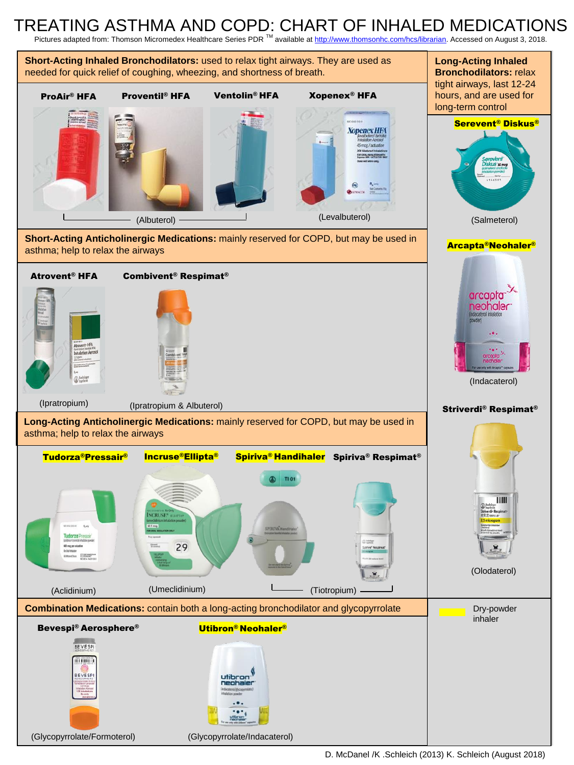## TREATING ASTHMA AND COPD: CHART OF INHALED MEDICATIONS

Pictures adapted from: Thomson Micromedex Healthcare Series PDR<sup>™</sup> available at http://www.thomsonhc.com/hcs/librarian. Accessed on August 3, 2018.